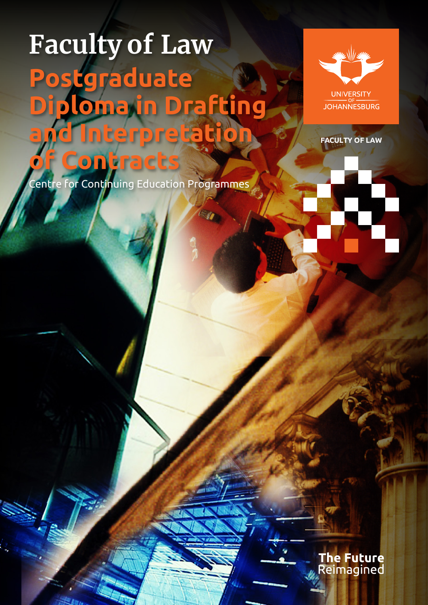# **Faculty of Law Postgraduate Diploma in Drafting Interpretatio of Contracts**



**UNIVERSITY JOHANNESBURG** 

**FACULTY OF LAW**

Centre for Continuing Education Programmes

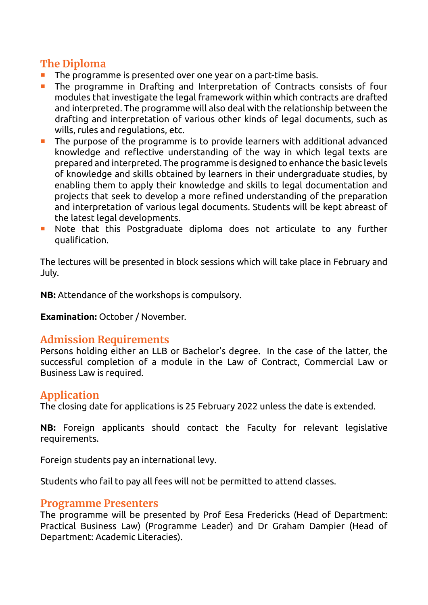# **The Diploma**

- $\blacksquare$  The programme is presented over one year on a part-time basis.
- The programme in Drafting and Interpretation of Contracts consists of four modules that investigate the legal framework within which contracts are drafted and interpreted. The programme will also deal with the relationship between the drafting and interpretation of various other kinds of legal documents, such as wills, rules and regulations, etc.
- The purpose of the programme is to provide learners with additional advanced knowledge and reflective understanding of the way in which legal texts are prepared and interpreted. The programme is designed to enhance the basic levels of knowledge and skills obtained by learners in their undergraduate studies, by enabling them to apply their knowledge and skills to legal documentation and projects that seek to develop a more refined understanding of the preparation and interpretation of various legal documents. Students will be kept abreast of the latest legal developments.
- **Note that this Postgraduate diploma does not articulate to any further** qualification.

The lectures will be presented in block sessions which will take place in February and July.

**NB:** Attendance of the workshops is compulsory.

**Examination:** October / November.

# **Admission Requirements**

Persons holding either an LLB or Bachelor's degree. In the case of the latter, the successful completion of a module in the Law of Contract, Commercial Law or Business Law is required.

## **Application**

The closing date for applications is 25 February 2022 unless the date is extended.

**NB:** Foreign applicants should contact the Faculty for relevant legislative requirements.

Foreign students pay an international levy.

Students who fail to pay all fees will not be permitted to attend classes.

## **Programme Presenters**

The programme will be presented by Prof Eesa Fredericks (Head of Department: Practical Business Law) (Programme Leader) and Dr Graham Dampier (Head of Department: Academic Literacies).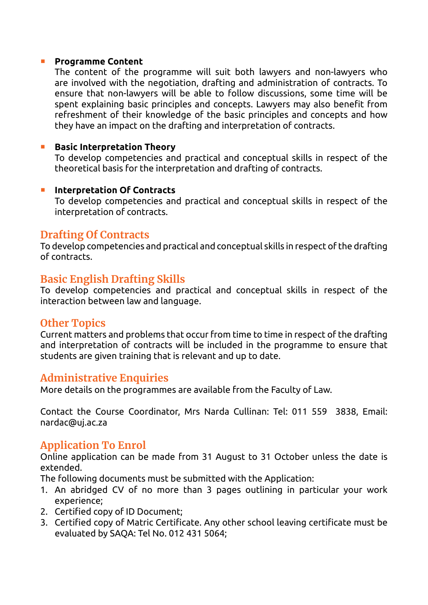#### **Programme Content**

 The content of the programme will suit both lawyers and non-lawyers who are involved with the negotiation, drafting and administration of contracts. To ensure that non-lawyers will be able to follow discussions, some time will be spent explaining basic principles and concepts. Lawyers may also benefit from refreshment of their knowledge of the basic principles and concepts and how they have an impact on the drafting and interpretation of contracts.

#### **Basic Interpretation Theory**

 To develop competencies and practical and conceptual skills in respect of the theoretical basis for the interpretation and drafting of contracts.

#### **Interpretation Of Contracts**

 To develop competencies and practical and conceptual skills in respect of the interpretation of contracts.

## **Drafting Of Contracts**

To develop competencies and practical and conceptual skills in respect of the drafting of contracts.

## **Basic English Drafting Skills**

To develop competencies and practical and conceptual skills in respect of the interaction between law and language.

## **Other Topics**

Current matters and problems that occur from time to time in respect of the drafting and interpretation of contracts will be included in the programme to ensure that students are given training that is relevant and up to date.

## **Administrative Enquiries**

More details on the programmes are available from the Faculty of Law.

Contact the Course Coordinator, Mrs Narda Cullinan: Tel: 011 559 3838, Email: nardac@uj.ac.za

# **Application To Enrol**

Online application can be made from 31 August to 31 October unless the date is extended.

The following documents must be submitted with the Application:

- 1. An abridged CV of no more than 3 pages outlining in particular your work experience;
- 2. Certified copy of ID Document:
- 3. Certified copy of Matric Certificate. Any other school leaving certificate must be evaluated by SAQA: Tel No. 012 431 5064;